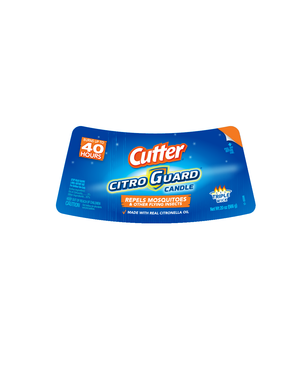